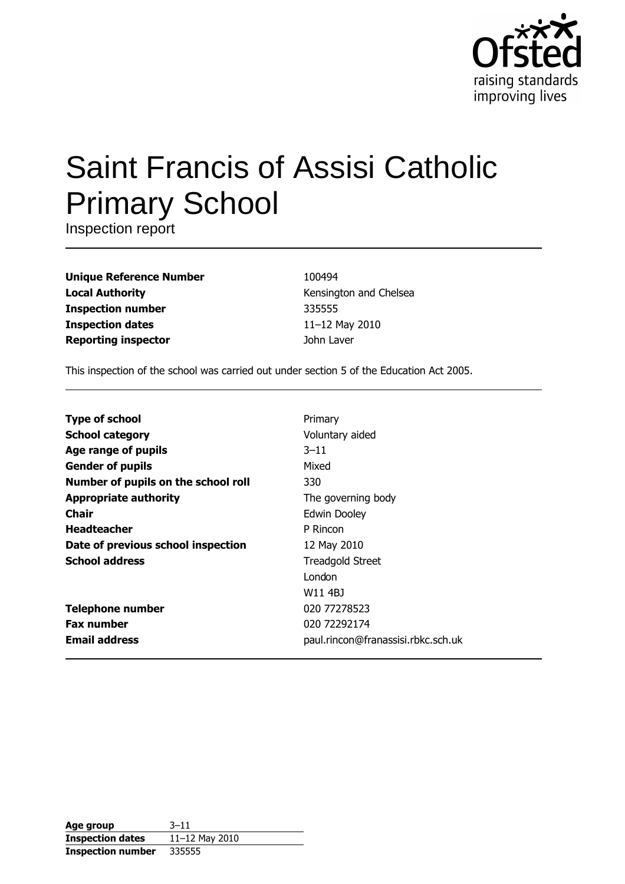

# **Saint Francis of Assisi Catholic Primary School**

Inspection report

**Unique Reference Number Local Authority Inspection number Inspection dates Reporting inspector** 

100494 Kensington and Chelsea 335555 11-12 May 2010 John Laver

This inspection of the school was carried out under section 5 of the Education Act 2005.

| <b>Type of school</b>               | Primary                            |
|-------------------------------------|------------------------------------|
| <b>School category</b>              | Voluntary aided                    |
| Age range of pupils                 | $3 - 11$                           |
| <b>Gender of pupils</b>             | Mixed                              |
| Number of pupils on the school roll | 330                                |
| <b>Appropriate authority</b>        | The governing body                 |
| Chair                               | Edwin Dooley                       |
| <b>Headteacher</b>                  | P Rincon                           |
| Date of previous school inspection  | 12 May 2010                        |
| <b>School address</b>               | <b>Treadgold Street</b>            |
|                                     | London                             |
|                                     | W11 4BJ                            |
| <b>Telephone number</b>             | 020 77278523                       |
| <b>Fax number</b>                   | 020 72292174                       |
| <b>Email address</b>                | paul.rincon@franassisi.rbkc.sch.uk |

| Age group                | $3 - 11$       |
|--------------------------|----------------|
| <b>Inspection dates</b>  | 11-12 May 2010 |
| <b>Inspection number</b> | 335555         |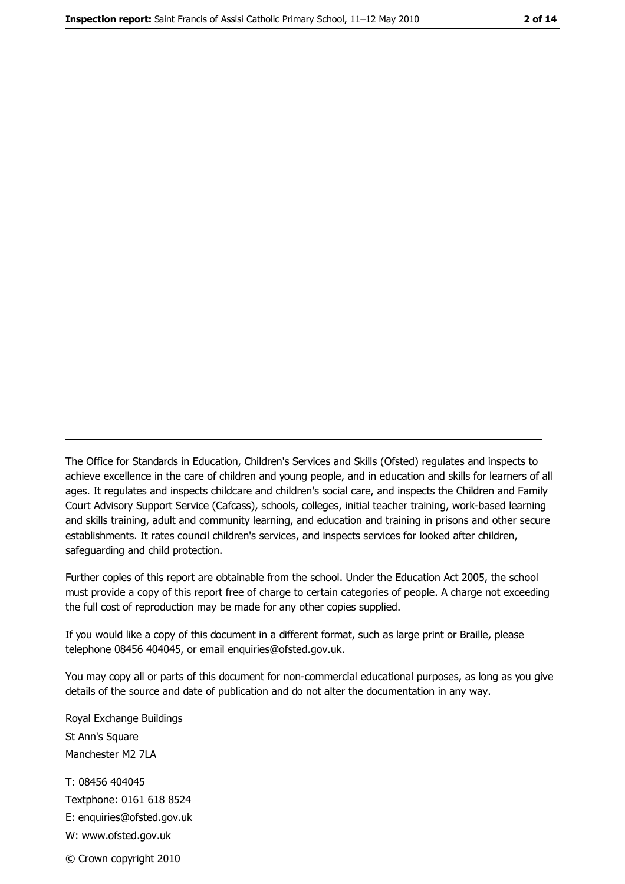The Office for Standards in Education, Children's Services and Skills (Ofsted) regulates and inspects to achieve excellence in the care of children and young people, and in education and skills for learners of all ages. It regulates and inspects childcare and children's social care, and inspects the Children and Family Court Advisory Support Service (Cafcass), schools, colleges, initial teacher training, work-based learning and skills training, adult and community learning, and education and training in prisons and other secure establishments. It rates council children's services, and inspects services for looked after children, safequarding and child protection.

Further copies of this report are obtainable from the school. Under the Education Act 2005, the school must provide a copy of this report free of charge to certain categories of people. A charge not exceeding the full cost of reproduction may be made for any other copies supplied.

If you would like a copy of this document in a different format, such as large print or Braille, please telephone 08456 404045, or email enquiries@ofsted.gov.uk.

You may copy all or parts of this document for non-commercial educational purposes, as long as you give details of the source and date of publication and do not alter the documentation in any way.

Royal Exchange Buildings St Ann's Square Manchester M2 7LA T: 08456 404045 Textphone: 0161 618 8524 E: enquiries@ofsted.gov.uk W: www.ofsted.gov.uk © Crown copyright 2010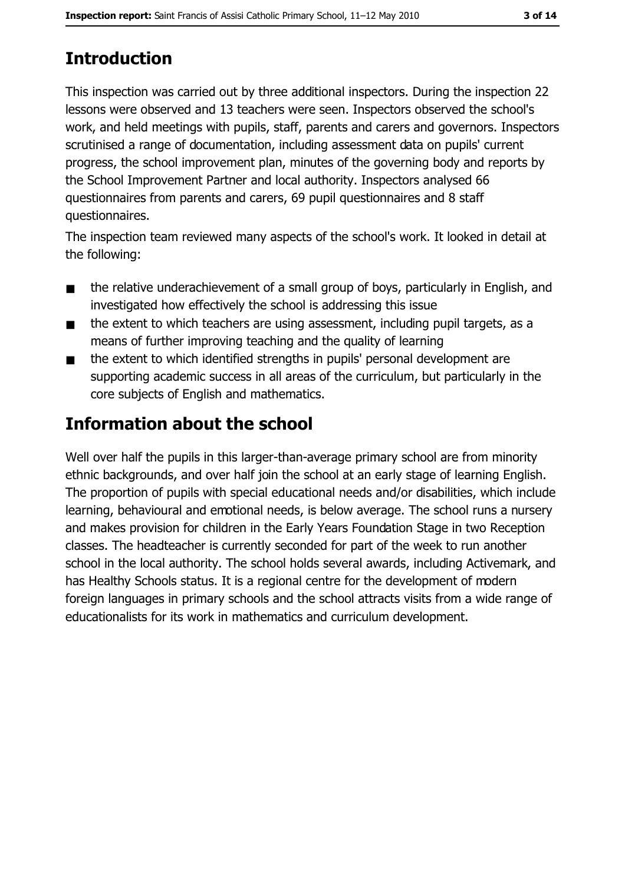# **Introduction**

This inspection was carried out by three additional inspectors. During the inspection 22 lessons were observed and 13 teachers were seen. Inspectors observed the school's work, and held meetings with pupils, staff, parents and carers and governors. Inspectors scrutinised a range of documentation, including assessment data on pupils' current progress, the school improvement plan, minutes of the governing body and reports by the School Improvement Partner and local authority. Inspectors analysed 66 questionnaires from parents and carers, 69 pupil questionnaires and 8 staff questionnaires.

The inspection team reviewed many aspects of the school's work. It looked in detail at the following:

- the relative underachievement of a small group of boys, particularly in English, and  $\blacksquare$ investigated how effectively the school is addressing this issue
- the extent to which teachers are using assessment, including pupil targets, as a  $\blacksquare$ means of further improving teaching and the quality of learning
- the extent to which identified strengths in pupils' personal development are  $\blacksquare$ supporting academic success in all areas of the curriculum, but particularly in the core subjects of English and mathematics.

# **Information about the school**

Well over half the pupils in this larger-than-average primary school are from minority ethnic backgrounds, and over half join the school at an early stage of learning English. The proportion of pupils with special educational needs and/or disabilities, which include learning, behavioural and emotional needs, is below average. The school runs a nursery and makes provision for children in the Early Years Foundation Stage in two Reception classes. The headteacher is currently seconded for part of the week to run another school in the local authority. The school holds several awards, including Activemark, and has Healthy Schools status. It is a regional centre for the development of modern foreign languages in primary schools and the school attracts visits from a wide range of educationalists for its work in mathematics and curriculum development.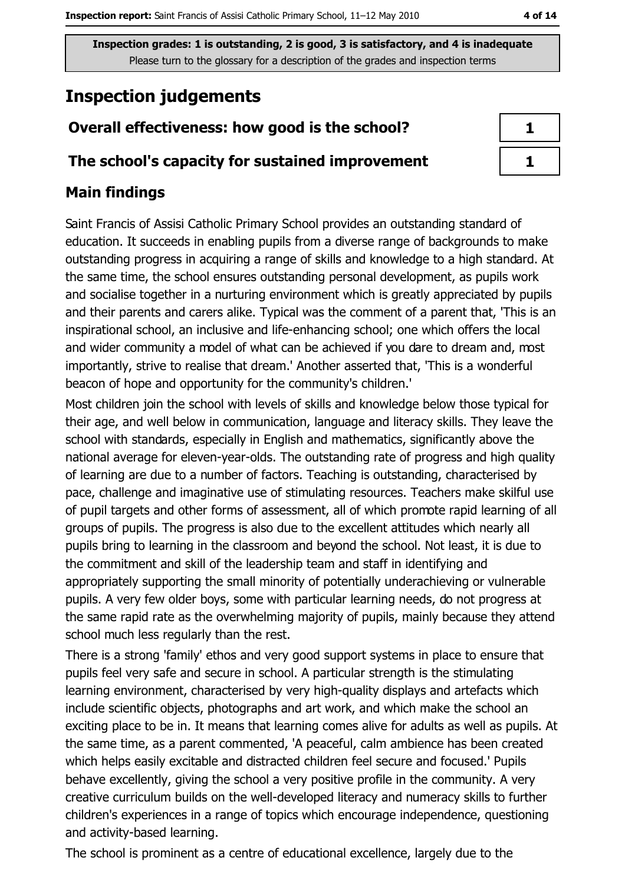# **Inspection judgements**

# Overall effectiveness: how good is the school?

## The school's capacity for sustained improvement

# **Main findings**

Saint Francis of Assisi Catholic Primary School provides an outstanding standard of education. It succeeds in enabling pupils from a diverse range of backgrounds to make outstanding progress in acquiring a range of skills and knowledge to a high standard. At the same time, the school ensures outstanding personal development, as pupils work and socialise together in a nurturing environment which is greatly appreciated by pupils and their parents and carers alike. Typical was the comment of a parent that, 'This is an inspirational school, an inclusive and life-enhancing school; one which offers the local and wider community a model of what can be achieved if you dare to dream and, most importantly, strive to realise that dream.' Another asserted that, 'This is a wonderful beacon of hope and opportunity for the community's children.

Most children join the school with levels of skills and knowledge below those typical for their age, and well below in communication, language and literacy skills. They leave the school with standards, especially in English and mathematics, significantly above the national average for eleven-year-olds. The outstanding rate of progress and high quality of learning are due to a number of factors. Teaching is outstanding, characterised by pace, challenge and imaginative use of stimulating resources. Teachers make skilful use of pupil targets and other forms of assessment, all of which promote rapid learning of all groups of pupils. The progress is also due to the excellent attitudes which nearly all pupils bring to learning in the classroom and beyond the school. Not least, it is due to the commitment and skill of the leadership team and staff in identifying and appropriately supporting the small minority of potentially underachieving or vulnerable pupils. A very few older boys, some with particular learning needs, do not progress at the same rapid rate as the overwhelming majority of pupils, mainly because they attend school much less regularly than the rest.

There is a strong 'family' ethos and very good support systems in place to ensure that pupils feel very safe and secure in school. A particular strength is the stimulating learning environment, characterised by very high-quality displays and artefacts which include scientific objects, photographs and art work, and which make the school an exciting place to be in. It means that learning comes alive for adults as well as pupils. At the same time, as a parent commented, 'A peaceful, calm ambience has been created which helps easily excitable and distracted children feel secure and focused.' Pupils behave excellently, giving the school a very positive profile in the community. A very creative curriculum builds on the well-developed literacy and numeracy skills to further children's experiences in a range of topics which encourage independence, questioning and activity-based learning.

The school is prominent as a centre of educational excellence, largely due to the

| П  |  |
|----|--|
| J. |  |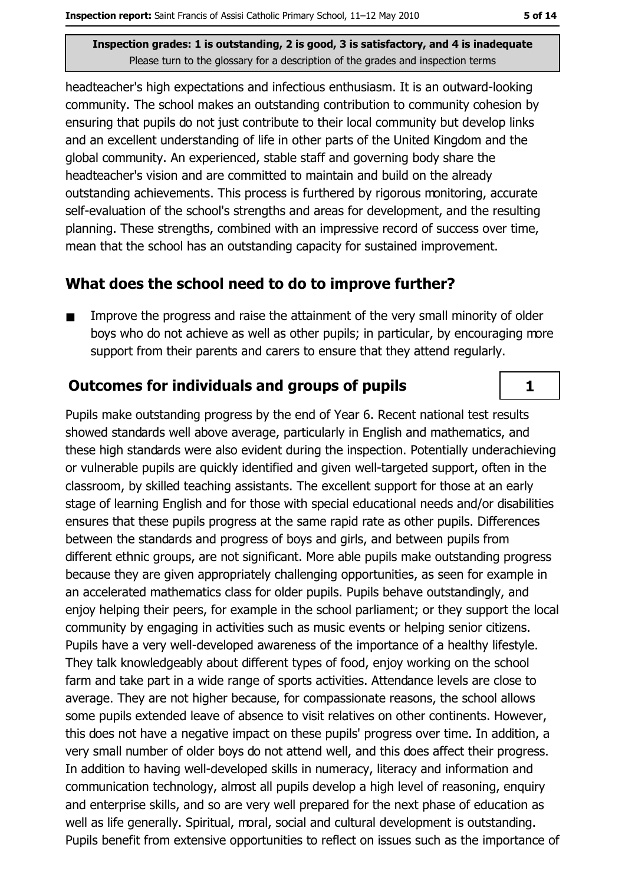headteacher's high expectations and infectious enthusiasm. It is an outward-looking community. The school makes an outstanding contribution to community cohesion by ensuring that pupils do not just contribute to their local community but develop links and an excellent understanding of life in other parts of the United Kingdom and the global community. An experienced, stable staff and governing body share the headteacher's vision and are committed to maintain and build on the already outstanding achievements. This process is furthered by rigorous monitoring, accurate self-evaluation of the school's strengths and areas for development, and the resulting planning. These strengths, combined with an impressive record of success over time, mean that the school has an outstanding capacity for sustained improvement.

### What does the school need to do to improve further?

Improve the progress and raise the attainment of the very small minority of older  $\blacksquare$ boys who do not achieve as well as other pupils; in particular, by encouraging more support from their parents and carers to ensure that they attend regularly.

## **Outcomes for individuals and groups of pupils**

Pupils make outstanding progress by the end of Year 6. Recent national test results showed standards well above average, particularly in English and mathematics, and these high standards were also evident during the inspection. Potentially underachieving or vulnerable pupils are quickly identified and given well-targeted support, often in the classroom, by skilled teaching assistants. The excellent support for those at an early stage of learning English and for those with special educational needs and/or disabilities ensures that these pupils progress at the same rapid rate as other pupils. Differences between the standards and progress of boys and girls, and between pupils from different ethnic groups, are not significant. More able pupils make outstanding progress because they are given appropriately challenging opportunities, as seen for example in an accelerated mathematics class for older pupils. Pupils behave outstandingly, and enjoy helping their peers, for example in the school parliament; or they support the local community by engaging in activities such as music events or helping senior citizens. Pupils have a very well-developed awareness of the importance of a healthy lifestyle. They talk knowledgeably about different types of food, enjoy working on the school farm and take part in a wide range of sports activities. Attendance levels are close to average. They are not higher because, for compassionate reasons, the school allows some pupils extended leave of absence to visit relatives on other continents. However, this does not have a negative impact on these pupils' progress over time. In addition, a very small number of older boys do not attend well, and this does affect their progress. In addition to having well-developed skills in numeracy, literacy and information and communication technology, almost all pupils develop a high level of reasoning, enguiry and enterprise skills, and so are very well prepared for the next phase of education as well as life generally. Spiritual, moral, social and cultural development is outstanding. Pupils benefit from extensive opportunities to reflect on issues such as the importance of

 $\mathbf{1}$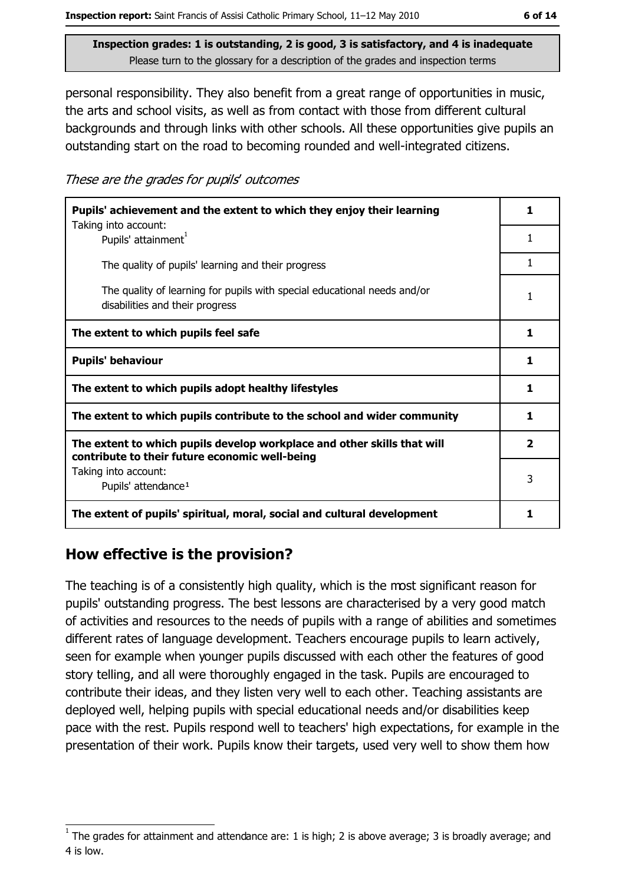personal responsibility. They also benefit from a great range of opportunities in music, the arts and school visits, as well as from contact with those from different cultural backgrounds and through links with other schools. All these opportunities give pupils an outstanding start on the road to becoming rounded and well-integrated citizens.

These are the grades for pupils' outcomes

| Pupils' achievement and the extent to which they enjoy their learning                                                     |   |
|---------------------------------------------------------------------------------------------------------------------------|---|
| Taking into account:<br>Pupils' attainment <sup>1</sup>                                                                   | 1 |
| The quality of pupils' learning and their progress                                                                        | 1 |
| The quality of learning for pupils with special educational needs and/or<br>disabilities and their progress               | 1 |
| The extent to which pupils feel safe                                                                                      | 1 |
| <b>Pupils' behaviour</b>                                                                                                  |   |
| The extent to which pupils adopt healthy lifestyles                                                                       |   |
| The extent to which pupils contribute to the school and wider community                                                   |   |
| The extent to which pupils develop workplace and other skills that will<br>contribute to their future economic well-being |   |
| Taking into account:<br>Pupils' attendance <sup>1</sup>                                                                   | 3 |
| The extent of pupils' spiritual, moral, social and cultural development                                                   | 1 |

## How effective is the provision?

The teaching is of a consistently high quality, which is the most significant reason for pupils' outstanding progress. The best lessons are characterised by a very good match of activities and resources to the needs of pupils with a range of abilities and sometimes different rates of language development. Teachers encourage pupils to learn actively, seen for example when younger pupils discussed with each other the features of good story telling, and all were thoroughly engaged in the task. Pupils are encouraged to contribute their ideas, and they listen very well to each other. Teaching assistants are deployed well, helping pupils with special educational needs and/or disabilities keep pace with the rest. Pupils respond well to teachers' high expectations, for example in the presentation of their work. Pupils know their targets, used very well to show them how

The grades for attainment and attendance are: 1 is high; 2 is above average; 3 is broadly average; and 4 is low.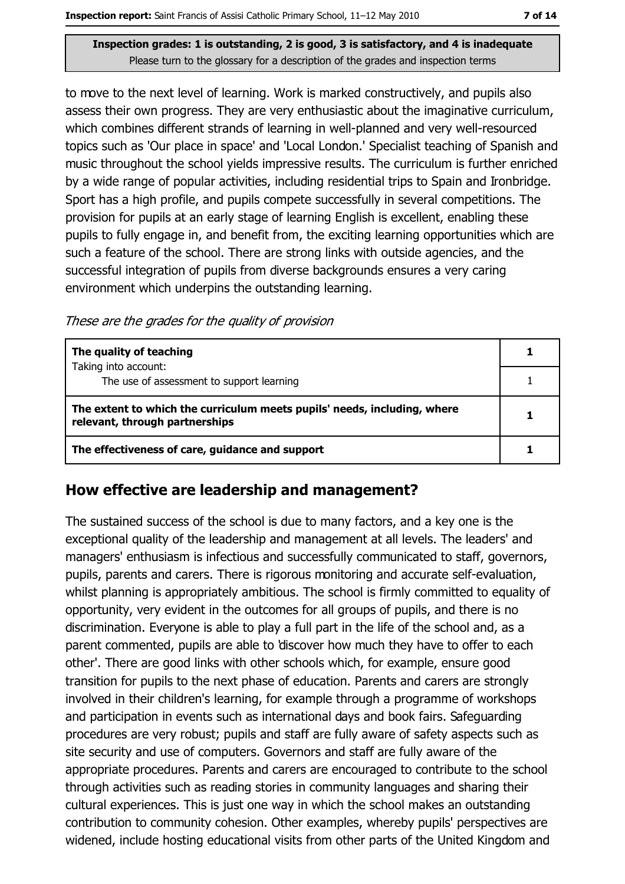to move to the next level of learning. Work is marked constructively, and pupils also assess their own progress. They are very enthusiastic about the imaginative curriculum, which combines different strands of learning in well-planned and very well-resourced topics such as 'Our place in space' and 'Local London.' Specialist teaching of Spanish and music throughout the school yields impressive results. The curriculum is further enriched by a wide range of popular activities, including residential trips to Spain and Ironbridge. Sport has a high profile, and pupils compete successfully in several competitions. The provision for pupils at an early stage of learning English is excellent, enabling these pupils to fully engage in, and benefit from, the exciting learning opportunities which are such a feature of the school. There are strong links with outside agencies, and the successful integration of pupils from diverse backgrounds ensures a very caring environment which underpins the outstanding learning.

These are the grades for the quality of provision

| The quality of teaching                                                                                    |  |
|------------------------------------------------------------------------------------------------------------|--|
| Taking into account:<br>The use of assessment to support learning                                          |  |
| The extent to which the curriculum meets pupils' needs, including, where<br>relevant, through partnerships |  |
| The effectiveness of care, guidance and support                                                            |  |

### How effective are leadership and management?

The sustained success of the school is due to many factors, and a key one is the exceptional quality of the leadership and management at all levels. The leaders' and managers' enthusiasm is infectious and successfully communicated to staff, governors, pupils, parents and carers. There is rigorous monitoring and accurate self-evaluation, whilst planning is appropriately ambitious. The school is firmly committed to equality of opportunity, very evident in the outcomes for all groups of pupils, and there is no discrimination. Everyone is able to play a full part in the life of the school and, as a parent commented, pupils are able to discover how much they have to offer to each other'. There are good links with other schools which, for example, ensure good transition for pupils to the next phase of education. Parents and carers are strongly involved in their children's learning, for example through a programme of workshops and participation in events such as international days and book fairs. Safeguarding procedures are very robust; pupils and staff are fully aware of safety aspects such as site security and use of computers. Governors and staff are fully aware of the appropriate procedures. Parents and carers are encouraged to contribute to the school through activities such as reading stories in community languages and sharing their cultural experiences. This is just one way in which the school makes an outstanding contribution to community cohesion. Other examples, whereby pupils' perspectives are widened, include hosting educational visits from other parts of the United Kingdom and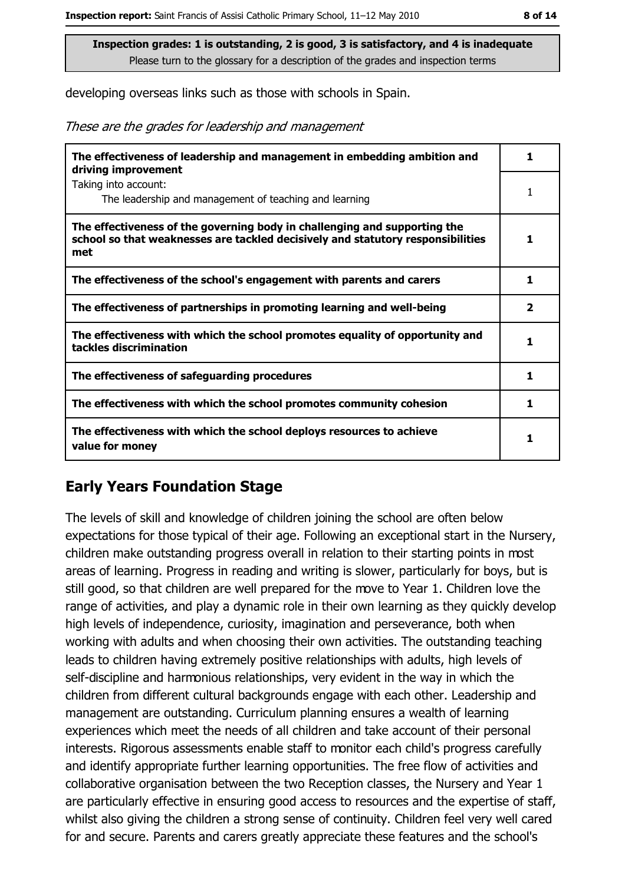developing overseas links such as those with schools in Spain.

These are the grades for leadership and management

| The effectiveness of leadership and management in embedding ambition and<br>driving improvement                                                                     | 1            |
|---------------------------------------------------------------------------------------------------------------------------------------------------------------------|--------------|
| Taking into account:<br>The leadership and management of teaching and learning                                                                                      |              |
| The effectiveness of the governing body in challenging and supporting the<br>school so that weaknesses are tackled decisively and statutory responsibilities<br>met |              |
| The effectiveness of the school's engagement with parents and carers                                                                                                | 1            |
| The effectiveness of partnerships in promoting learning and well-being                                                                                              | $\mathbf{2}$ |
| The effectiveness with which the school promotes equality of opportunity and<br>tackles discrimination                                                              | 1            |
| The effectiveness of safeguarding procedures                                                                                                                        | 1            |
| The effectiveness with which the school promotes community cohesion                                                                                                 | 1            |
| The effectiveness with which the school deploys resources to achieve<br>value for money                                                                             |              |

## **Early Years Foundation Stage**

The levels of skill and knowledge of children joining the school are often below expectations for those typical of their age. Following an exceptional start in the Nursery, children make outstanding progress overall in relation to their starting points in most areas of learning. Progress in reading and writing is slower, particularly for boys, but is still good, so that children are well prepared for the move to Year 1. Children love the range of activities, and play a dynamic role in their own learning as they quickly develop high levels of independence, curiosity, imagination and perseverance, both when working with adults and when choosing their own activities. The outstanding teaching leads to children having extremely positive relationships with adults, high levels of self-discipline and harmonious relationships, very evident in the way in which the children from different cultural backgrounds engage with each other. Leadership and management are outstanding. Curriculum planning ensures a wealth of learning experiences which meet the needs of all children and take account of their personal interests. Rigorous assessments enable staff to monitor each child's progress carefully and identify appropriate further learning opportunities. The free flow of activities and collaborative organisation between the two Reception classes, the Nursery and Year 1 are particularly effective in ensuring good access to resources and the expertise of staff, whilst also giving the children a strong sense of continuity. Children feel very well cared for and secure. Parents and carers greatly appreciate these features and the school's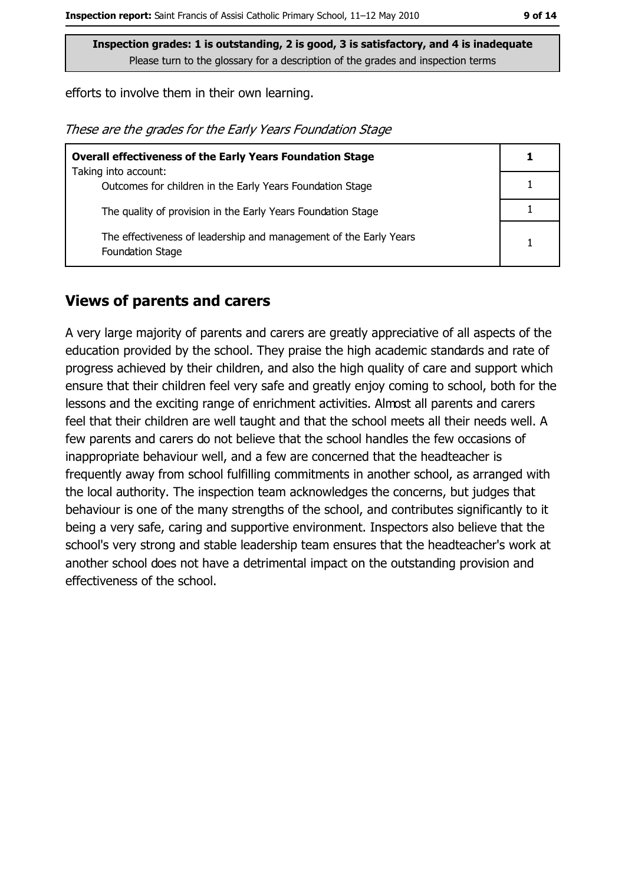efforts to involve them in their own learning.

These are the grades for the Early Years Foundation Stage

| <b>Overall effectiveness of the Early Years Foundation Stage</b>                             |  |
|----------------------------------------------------------------------------------------------|--|
| Taking into account:                                                                         |  |
| Outcomes for children in the Early Years Foundation Stage                                    |  |
| The quality of provision in the Early Years Foundation Stage                                 |  |
| The effectiveness of leadership and management of the Early Years<br><b>Foundation Stage</b> |  |

# **Views of parents and carers**

A very large majority of parents and carers are greatly appreciative of all aspects of the education provided by the school. They praise the high academic standards and rate of progress achieved by their children, and also the high quality of care and support which ensure that their children feel very safe and greatly enjoy coming to school, both for the lessons and the exciting range of enrichment activities. Almost all parents and carers feel that their children are well taught and that the school meets all their needs well. A few parents and carers do not believe that the school handles the few occasions of inappropriate behaviour well, and a few are concerned that the headteacher is frequently away from school fulfilling commitments in another school, as arranged with the local authority. The inspection team acknowledges the concerns, but judges that behaviour is one of the many strengths of the school, and contributes significantly to it being a very safe, caring and supportive environment. Inspectors also believe that the school's very strong and stable leadership team ensures that the headteacher's work at another school does not have a detrimental impact on the outstanding provision and effectiveness of the school.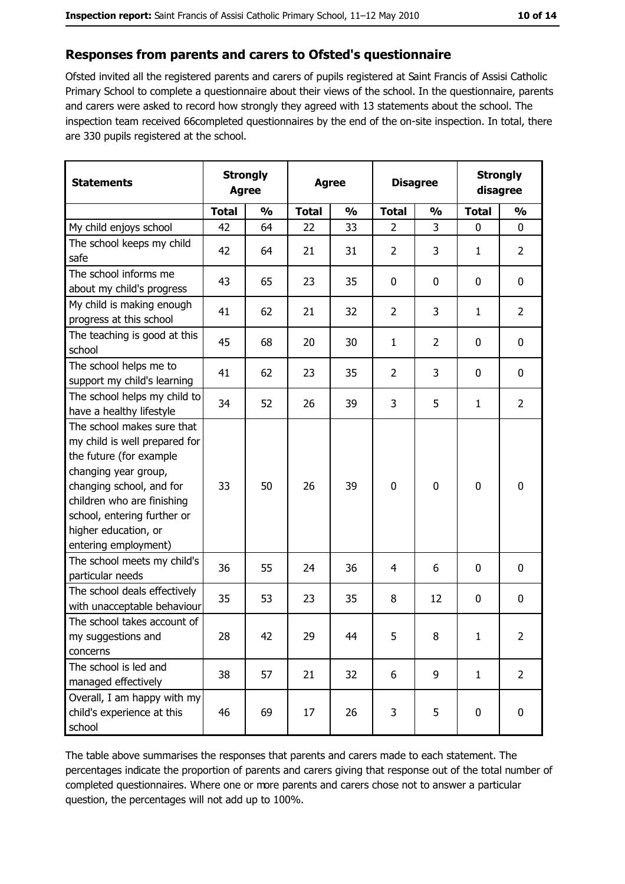#### Responses from parents and carers to Ofsted's questionnaire

Ofsted invited all the registered parents and carers of pupils registered at Saint Francis of Assisi Catholic Primary School to complete a questionnaire about their views of the school. In the questionnaire, parents and carers were asked to record how strongly they agreed with 13 statements about the school. The inspection team received 66completed questionnaires by the end of the on-site inspection. In total, there are 330 pupils registered at the school.

| <b>Statements</b>                                                                                                                                                                                                                                       | <b>Strongly</b><br><b>Agree</b> |               | <b>Agree</b> |               | <b>Disagree</b> |               | <b>Strongly</b><br>disagree |                |
|---------------------------------------------------------------------------------------------------------------------------------------------------------------------------------------------------------------------------------------------------------|---------------------------------|---------------|--------------|---------------|-----------------|---------------|-----------------------------|----------------|
|                                                                                                                                                                                                                                                         | <b>Total</b>                    | $\frac{0}{0}$ | <b>Total</b> | $\frac{0}{0}$ | <b>Total</b>    | $\frac{0}{0}$ | <b>Total</b>                | $\frac{0}{0}$  |
| My child enjoys school                                                                                                                                                                                                                                  | 42                              | 64            | 22           | 33            | $\overline{2}$  | 3             | $\mathbf 0$                 | 0              |
| The school keeps my child<br>safe                                                                                                                                                                                                                       | 42                              | 64            | 21           | 31            | $\overline{2}$  | 3             | $\mathbf{1}$                | $\overline{2}$ |
| The school informs me<br>about my child's progress                                                                                                                                                                                                      | 43                              | 65            | 23           | 35            | $\mathbf 0$     | 0             | $\mathbf 0$                 | 0              |
| My child is making enough<br>progress at this school                                                                                                                                                                                                    | 41                              | 62            | 21           | 32            | $\overline{2}$  | 3             | 1                           | $\overline{2}$ |
| The teaching is good at this<br>school                                                                                                                                                                                                                  | 45                              | 68            | 20           | 30            | $\mathbf{1}$    | 2             | 0                           | 0              |
| The school helps me to<br>support my child's learning                                                                                                                                                                                                   | 41                              | 62            | 23           | 35            | $\overline{2}$  | 3             | $\mathbf{0}$                | 0              |
| The school helps my child to<br>have a healthy lifestyle                                                                                                                                                                                                | 34                              | 52            | 26           | 39            | 3               | 5             | $\mathbf{1}$                | $\overline{2}$ |
| The school makes sure that<br>my child is well prepared for<br>the future (for example<br>changing year group,<br>changing school, and for<br>children who are finishing<br>school, entering further or<br>higher education, or<br>entering employment) | 33                              | 50            | 26           | 39            | $\mathbf 0$     | 0             | $\mathbf 0$                 | 0              |
| The school meets my child's<br>particular needs                                                                                                                                                                                                         | 36                              | 55            | 24           | 36            | 4               | 6             | 0                           | 0              |
| The school deals effectively<br>with unacceptable behaviour                                                                                                                                                                                             | 35                              | 53            | 23           | 35            | 8               | 12            | $\mathbf 0$                 | 0              |
| The school takes account of<br>my suggestions and<br>concerns                                                                                                                                                                                           | 28                              | 42            | 29           | 44            | 5               | 8             | ı                           | 2              |
| The school is led and<br>managed effectively                                                                                                                                                                                                            | 38                              | 57            | 21           | 32            | 6               | 9             | $\mathbf{1}$                | $\overline{2}$ |
| Overall, I am happy with my<br>child's experience at this<br>school                                                                                                                                                                                     | 46                              | 69            | 17           | 26            | 3               | 5             | $\bf{0}$                    | 0              |

The table above summarises the responses that parents and carers made to each statement. The percentages indicate the proportion of parents and carers giving that response out of the total number of completed questionnaires. Where one or more parents and carers chose not to answer a particular question, the percentages will not add up to 100%.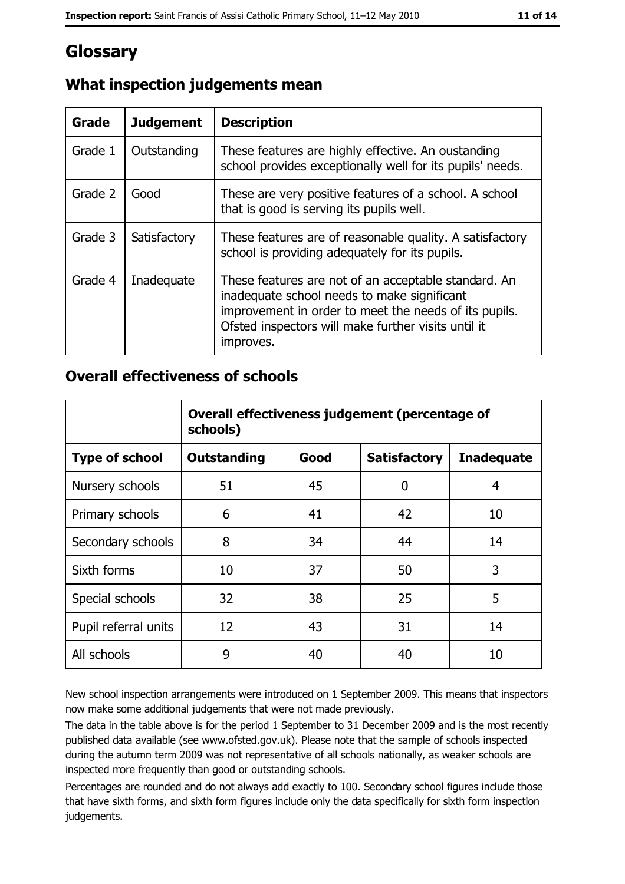# Glossary

| Grade   | <b>Judgement</b> | <b>Description</b>                                                                                                                                                                                                               |
|---------|------------------|----------------------------------------------------------------------------------------------------------------------------------------------------------------------------------------------------------------------------------|
| Grade 1 | Outstanding      | These features are highly effective. An oustanding<br>school provides exceptionally well for its pupils' needs.                                                                                                                  |
| Grade 2 | Good             | These are very positive features of a school. A school<br>that is good is serving its pupils well.                                                                                                                               |
| Grade 3 | Satisfactory     | These features are of reasonable quality. A satisfactory<br>school is providing adequately for its pupils.                                                                                                                       |
| Grade 4 | Inadequate       | These features are not of an acceptable standard. An<br>inadequate school needs to make significant<br>improvement in order to meet the needs of its pupils.<br>Ofsted inspectors will make further visits until it<br>improves. |

# What inspection judgements mean

# **Overall effectiveness of schools**

|                       | Overall effectiveness judgement (percentage of<br>schools) |      |                     |                   |
|-----------------------|------------------------------------------------------------|------|---------------------|-------------------|
| <b>Type of school</b> | <b>Outstanding</b>                                         | Good | <b>Satisfactory</b> | <b>Inadequate</b> |
| Nursery schools       | 51                                                         | 45   | 0                   | 4                 |
| Primary schools       | 6                                                          | 41   | 42                  | 10                |
| Secondary schools     | 8                                                          | 34   | 44                  | 14                |
| Sixth forms           | 10                                                         | 37   | 50                  | 3                 |
| Special schools       | 32                                                         | 38   | 25                  | 5                 |
| Pupil referral units  | 12                                                         | 43   | 31                  | 14                |
| All schools           | 9                                                          | 40   | 40                  | 10                |

New school inspection arrangements were introduced on 1 September 2009. This means that inspectors now make some additional judgements that were not made previously.

The data in the table above is for the period 1 September to 31 December 2009 and is the most recently published data available (see www.ofsted.gov.uk). Please note that the sample of schools inspected during the autumn term 2009 was not representative of all schools nationally, as weaker schools are inspected more frequently than good or outstanding schools.

Percentages are rounded and do not always add exactly to 100. Secondary school figures include those that have sixth forms, and sixth form figures include only the data specifically for sixth form inspection judgements.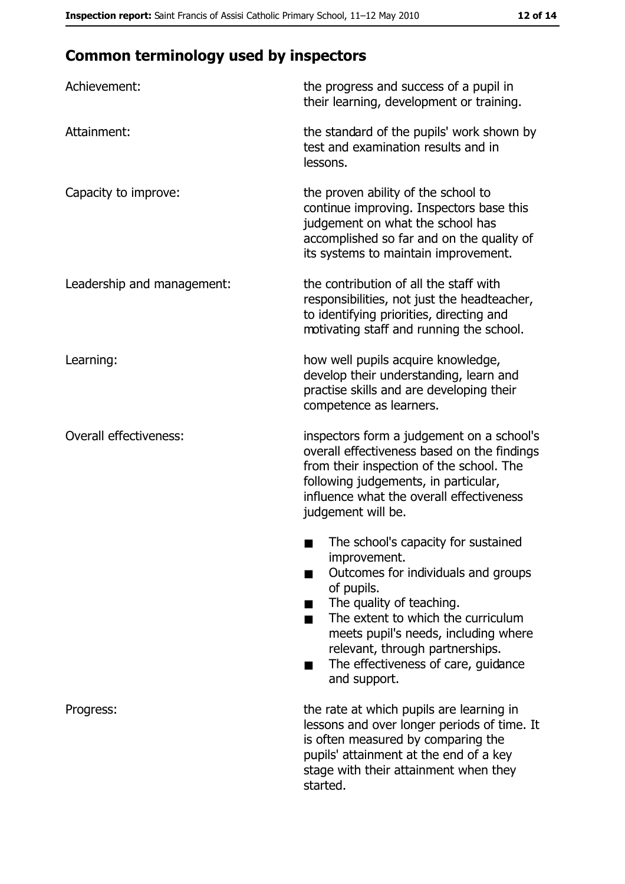# **Common terminology used by inspectors**

| Achievement:                  | the progress and success of a pupil in<br>their learning, development or training.                                                                                                                                                                                                                           |
|-------------------------------|--------------------------------------------------------------------------------------------------------------------------------------------------------------------------------------------------------------------------------------------------------------------------------------------------------------|
| Attainment:                   | the standard of the pupils' work shown by<br>test and examination results and in<br>lessons.                                                                                                                                                                                                                 |
| Capacity to improve:          | the proven ability of the school to<br>continue improving. Inspectors base this<br>judgement on what the school has<br>accomplished so far and on the quality of<br>its systems to maintain improvement.                                                                                                     |
| Leadership and management:    | the contribution of all the staff with<br>responsibilities, not just the headteacher,<br>to identifying priorities, directing and<br>motivating staff and running the school.                                                                                                                                |
| Learning:                     | how well pupils acquire knowledge,<br>develop their understanding, learn and<br>practise skills and are developing their<br>competence as learners.                                                                                                                                                          |
| <b>Overall effectiveness:</b> | inspectors form a judgement on a school's<br>overall effectiveness based on the findings<br>from their inspection of the school. The<br>following judgements, in particular,<br>influence what the overall effectiveness<br>judgement will be.                                                               |
|                               | The school's capacity for sustained<br>improvement.<br>Outcomes for individuals and groups<br>of pupils.<br>The quality of teaching.<br>The extent to which the curriculum<br>meets pupil's needs, including where<br>relevant, through partnerships.<br>The effectiveness of care, guidance<br>and support. |
| Progress:                     | the rate at which pupils are learning in<br>lessons and over longer periods of time. It<br>is often measured by comparing the<br>pupils' attainment at the end of a key<br>stage with their attainment when they<br>started.                                                                                 |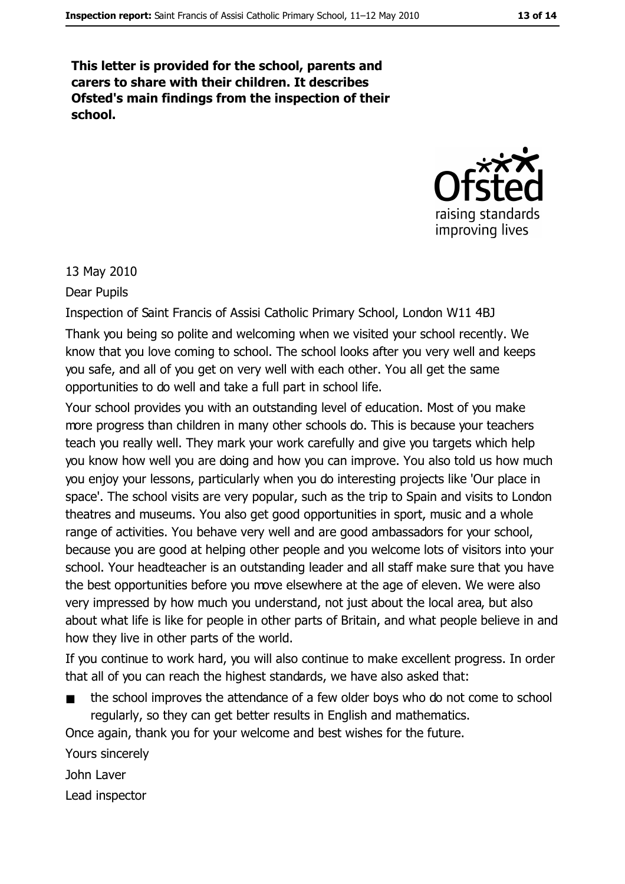This letter is provided for the school, parents and carers to share with their children. It describes Ofsted's main findings from the inspection of their school.



13 May 2010

Dear Pupils

Inspection of Saint Francis of Assisi Catholic Primary School, London W11 4BJ

Thank you being so polite and welcoming when we visited your school recently. We know that you love coming to school. The school looks after you very well and keeps you safe, and all of you get on very well with each other. You all get the same opportunities to do well and take a full part in school life.

Your school provides you with an outstanding level of education. Most of you make more progress than children in many other schools do. This is because your teachers teach you really well. They mark your work carefully and give you targets which help you know how well you are doing and how you can improve. You also told us how much you enjoy your lessons, particularly when you do interesting projects like 'Our place in space'. The school visits are very popular, such as the trip to Spain and visits to London theatres and museums. You also get good opportunities in sport, music and a whole range of activities. You behave very well and are good ambassadors for your school, because you are good at helping other people and you welcome lots of visitors into your school. Your headteacher is an outstanding leader and all staff make sure that you have the best opportunities before you move elsewhere at the age of eleven. We were also very impressed by how much you understand, not just about the local area, but also about what life is like for people in other parts of Britain, and what people believe in and how they live in other parts of the world.

If you continue to work hard, you will also continue to make excellent progress. In order that all of you can reach the highest standards, we have also asked that:

the school improves the attendance of a few older boys who do not come to school regularly, so they can get better results in English and mathematics.

Once again, thank you for your welcome and best wishes for the future.

Yours sincerely

John Laver

Lead inspector